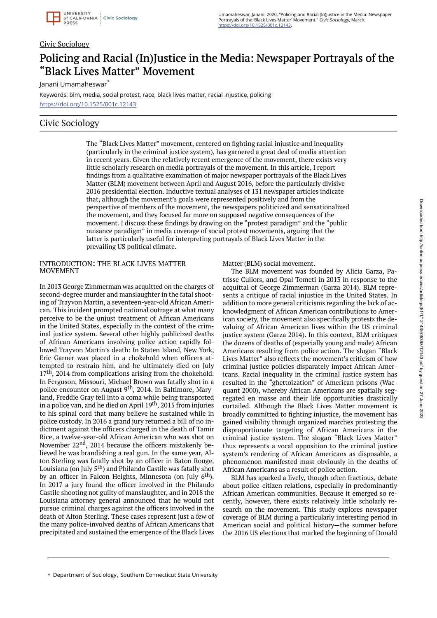

Umamaheswar, Janani. 2020. "Policing and Racial (In)Justice in the Media: Newspaper Portrayals of the 'Black Lives Matter' Movement." Civic Sociology, March. https://doi.org/10.1525/001c.12143.

#### Civic Sociology

# Policing and Racial (In)Justice in the Media: Newspaper Portrayals of the "Black Lives Matter" Movement

Janani Umamaheswar\*

Keywords: blm, media, social protest, race, black lives matter, racial injustice, policing https://doi.org/10.1525/001c.12143

## Civic Sociology

The "Black Lives Matter" movement, centered on fighting racial injustice and inequality (particularly in the criminal justice system), has garnered a great deal of media attention in recent years. Given the relatively recent emergence of the movement, there exists very little scholarly research on media portrayals of the movement. In this article, I report findings from a qualitative examination of major newspaper portrayals of the Black Lives Matter (BLM) movement between April and August 2016, before the particularly divisive 2016 presidential election. Inductive textual analyses of 131 newspaper articles indicate that, although the movement's goals were represented positively and from the perspective of members of the movement, the newspapers politicized and sensationalized the movement, and they focused far more on supposed negative consequences of the movement. I discuss these findings by drawing on the "protest paradigm" and the "public nuisance paradigm" in media coverage of social protest movements, arguing that the latter is particularly useful for interpreting portrayals of Black Lives Matter in the prevailing US political climate.

#### INTRODUCTION: THE BLACK LIVES MATTER MOVEMENT

In 2013 George Zimmerman was acquitted on the charges of second-degree murder and manslaughter in the fatal shooting of Trayvon Martin, a seventeen-year-old African American. This incident prompted national outrage at what many perceive to be the unjust treatment of African Americans in the United States, especially in the context of the criminal justice system. Several other highly publicized deaths of African Americans involving police action rapidly followed Trayvon Martin's death: In Staten Island, New York, Eric Garner was placed in a chokehold when officers attempted to restrain him, and he ultimately died on July 17<sup>th</sup>, 2014 from complications arising from the chokehold. In Ferguson, Missouri, Michael Brown was fatally shot in a police encounter on August 9<sup>th</sup>, 2014. In Baltimore, Maryland, Freddie Gray fell into a coma while being transported in a police van, and he died on April 19th, 2015 from injuries to his spinal cord that many believe he sustained while in police custody. In 2016 a grand jury returned a bill of no indictment against the officers charged in the death of Tamir Rice, a twelve-year-old African American who was shot on November 22nd, 2014 because the officers mistakenly believed he was brandishing a real gun. In the same year, Alton Sterling was fatally shot by an officer in Baton Rouge, Louisiana (on July 5th) and Philando Castile was fatally shot by an officer in Falcon Heights, Minnesota (on July 6<sup>th</sup>). In 2017 a jury found the officer involved in the Philando Castile shooting not guilty of manslaughter, and in 2018 the Louisiana attorney general announced that he would not pursue criminal charges against the officers involved in the death of Alton Sterling. These cases represent just a few of the many police-involved deaths of African Americans that precipitated and sustained the emergence of the Black Lives Matter (BLM) social movement.

The BLM movement was founded by Alicia Garza, Patrisse Cullors, and Opal Tometi in 2013 in response to the acquittal of George Zimmerman (Garza 2014). BLM represents a critique of racial injustice in the United States. In addition to more general criticisms regarding the lack of acknowledgment of African American contributions to American society, the movement also specifically protests the devaluing of African American lives within the US criminal justice system (Garza 2014). In this context, BLM critiques the dozens of deaths of (especially young and male) African Americans resulting from police action. The slogan "Black Lives Matter" also reflects the movement's criticism of how criminal justice policies disparately impact African Americans. Racial inequality in the criminal justice system has resulted in the "ghettoization" of American prisons (Wacquant 2000), whereby African Americans are spatially segregated en masse and their life opportunities drastically curtailed. Although the Black Lives Matter movement is broadly committed to fighting injustice, the movement has gained visibility through organized marches protesting the disproportionate targeting of African Americans in the criminal justice system. The slogan "Black Lives Matter" thus represents a vocal opposition to the criminal justice system's rendering of African Americans as disposable, a phenomenon manifested most obviously in the deaths of African Americans as a result of police action.

BLM has sparked a lively, though often fractious, debate about police-citizen relations, especially in predominantly African American communities. Because it emerged so recently, however, there exists relatively little scholarly research on the movement. This study explores newspaper coverage of BLM during a particularly interesting period in American social and political history—the summer before the 2016 US elections that marked the beginning of Donald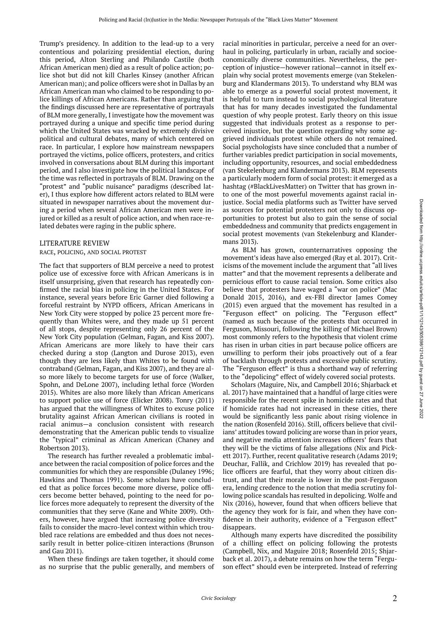Trump's presidency. In addition to the lead-up to a very contentious and polarizing presidential election, during this period, Alton Sterling and Philando Castile (both African American men) died as a result of police action; police shot but did not kill Charles Kinsey (another African American man); and police officers were shot in Dallas by an African American man who claimed to be responding to police killings of African Americans. Rather than arguing that the findings discussed here are representative of portrayals of BLM more generally, I investigate how the movement was portrayed during a unique and specific time period during which the United States was wracked by extremely divisive political and cultural debates, many of which centered on race. In particular, I explore how mainstream newspapers portrayed the victims, police officers, protesters, and critics involved in conversations about BLM during this important period, and I also investigate how the political landscape of the time was reflected in portrayals of BLM. Drawing on the "protest" and "public nuisance" paradigms (described later), I thus explore how different actors related to BLM were situated in newspaper narratives about the movement during a period when several African American men were injured or killed as a result of police action, and when race-related debates were raging in the public sphere.

#### LITERATURE REVIEW

#### RACE, POLICING, AND SOCIAL PROTEST

The fact that supporters of BLM perceive a need to protest police use of excessive force with African Americans is in itself unsurprising, given that research has repeatedly confirmed the racial bias in policing in the United States. For instance, several years before Eric Garner died following a forceful restraint by NYPD officers, African Americans in New York City were stopped by police 23 percent more frequently than Whites were, and they made up 51 percent of all stops, despite representing only 26 percent of the New York City population (Gelman, Fagan, and Kiss 2007). African Americans are more likely to have their cars checked during a stop (Langton and Durose 2013), even though they are less likely than Whites to be found with contraband (Gelman, Fagan, and Kiss 2007), and they are also more likely to become targets for use of force (Walker, Spohn, and DeLone 2007), including lethal force (Worden 2015). Whites are also more likely than African Americans to support police use of force (Elicker 2008). Tonry (2011) has argued that the willingness of Whites to excuse police brutality against African American civilians is rooted in racial animus—a conclusion consistent with research demonstrating that the American public tends to visualize the "typical" criminal as African American (Chaney and Robertson 2013).

The research has further revealed a problematic imbalance between the racial composition of police forces and the communities for which they are responsible (Dulaney 1996; Hawkins and Thomas 1991). Some scholars have concluded that as police forces become more diverse, police officers become better behaved, pointing to the need for police forces more adequately to represent the diversity of the communities that they serve (Kane and White 2009). Others, however, have argued that increasing police diversity fails to consider the macro-level context within which troubled race relations are embedded and thus does not necessarily result in better police-citizen interactions (Brunson and Gau 2011).

When these findings are taken together, it should come as no surprise that the public generally, and members of racial minorities in particular, perceive a need for an overhaul in policing, particularly in urban, racially and socioeconomically diverse communities. Nevertheless, the perception of injustice—however rational—cannot in itself explain why social protest movements emerge (van Stekelenburg and Klandermans 2013). To understand why BLM was able to emerge as a powerful social protest movement, it is helpful to turn instead to social psychological literature that has for many decades investigated the fundamental question of why people protest. Early theory on this issue suggested that individuals protest as a response to perceived injustice, but the question regarding why some aggrieved individuals protest while others do not remained. Social psychologists have since concluded that a number of further variables predict participation in social movements, including opportunity, resources, and social embeddedness (van Stekelenburg and Klandermans 2013). BLM represents a particularly modern form of social protest: it emerged as a hashtag (#BlackLivesMatter) on Twitter that has grown into one of the most powerful movements against racial injustice. Social media platforms such as Twitter have served as sources for potential protesters not only to discuss opportunities to protest but also to gain the sense of social embeddedness and community that predicts engagement in social protest movements (van Stekelenburg and Klandermans 2013).

As BLM has grown, counternarratives opposing the movement's ideas have also emerged (Ray et al. 2017). Criticisms of the movement include the argument that "all lives matter" and that the movement represents a deliberate and pernicious effort to cause racial tension. Some critics also believe that protesters have waged a "war on police" (Mac Donald 2015, 2016), and ex-FBI director James Comey (2015) even argued that the movement has resulted in a "Ferguson effect" on policing. The "Ferguson effect" (named as such because of the protests that occurred in Ferguson, Missouri, following the killing of Michael Brown) most commonly refers to the hypothesis that violent crime has risen in urban cities in part because police officers are unwilling to perform their jobs proactively out of a fear of backlash through protests and excessive public scrutiny. The "Ferguson effect" is thus a shorthand way of referring to the "depolicing" effect of widely covered social protests.

Scholars (Maguire, Nix, and Campbell 2016; Shjarback et al. 2017) have maintained that a handful of large cities were responsible for the recent spike in homicide rates and that if homicide rates had not increased in these cities, there would be significantly less panic about rising violence in the nation (Rosenfeld 2016). Still, officers believe that civilians' attitudes toward policing are worse than in prior years, and negative media attention increases officers' fears that they will be the victims of false allegations (Nix and Pickett 2017). Further, recent qualitative research (Adams 2019; Deuchar, Fallik, and Crichlow 2019) has revealed that police officers are fearful, that they worry about citizen distrust, and that their morale is lower in the post-Ferguson era, lending credence to the notion that media scrutiny following police scandals has resulted in depolicing. Wolfe and Nix (2016), however, found that when officers believe that the agency they work for is fair, and when they have confidence in their authority, evidence of a "Ferguson effect" disappears.

Although many experts have discredited the possibility of a chilling effect on policing following the protests (Campbell, Nix, and Maguire 2018; Rosenfeld 2015; Shjarback et al. 2017), a debate remains on how the term "Ferguson effect" should even be interpreted. Instead of referring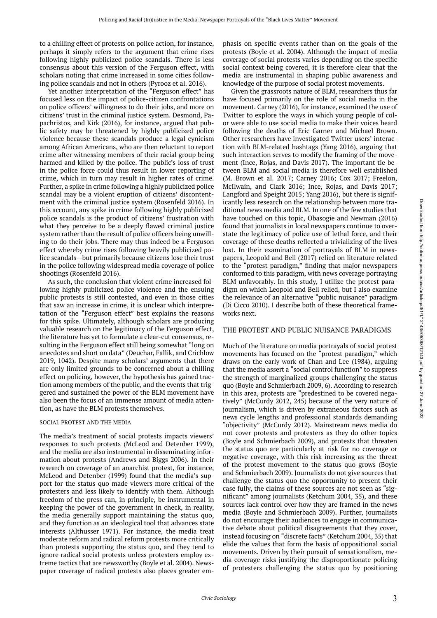to a chilling effect of protests on police action, for instance, perhaps it simply refers to the argument that crime rises following highly publicized police scandals. There is less consensus about this version of the Ferguson effect, with scholars noting that crime increased in some cities following police scandals and not in others (Pyrooz et al. 2016).

Yet another interpretation of the "Ferguson effect" has focused less on the impact of police-citizen confrontations on police officers' willingness to do their jobs, and more on citizens' trust in the criminal justice system. Desmond, Papachristos, and Kirk (2016), for instance, argued that public safety may be threatened by highly publicized police violence because these scandals produce a legal cynicism among African Americans, who are then reluctant to report crime after witnessing members of their racial group being harmed and killed by the police. The public's loss of trust in the police force could thus result in lower reporting of crime, which in turn may result in higher rates of crime. Further, a spike in crime following a highly publicized police scandal may be a violent eruption of citizens' discontentment with the criminal justice system (Rosenfeld 2016). In this account, any spike in crime following highly publicized police scandals is the product of citizens' frustration with what they perceive to be a deeply flawed criminal justice system rather than the result of police officers being unwilling to do their jobs. There may thus indeed be a Ferguson effect whereby crime rises following heavily publicized police scandals—but primarily because citizens lose their trust in the police following widespread media coverage of police shootings (Rosenfeld 2016).

As such, the conclusion that violent crime increased following highly publicized police violence and the ensuing public protests is still contested, and even in those cities that saw an increase in crime, it is unclear which interpretation of the "Ferguson effect" best explains the reasons for this spike. Ultimately, although scholars are producing valuable research on the legitimacy of the Ferguson effect, the literature has yet to formulate a clear-cut consensus, resulting in the Ferguson effect still being somewhat "long on anecdotes and short on data" (Deuchar, Fallik, and Crichlow 2019, 1042). Despite many scholars' arguments that there are only limited grounds to be concerned about a chilling effect on policing, however, the hypothesis has gained traction among members of the public, and the events that triggered and sustained the power of the BLM movement have also been the focus of an immense amount of media attention, as have the BLM protests themselves.

#### SOCIAL PROTEST AND THE MEDIA

The media's treatment of social protests impacts viewers' responses to such protests (McLeod and Detenber 1999), and the media are also instrumental in disseminating information about protests (Andrews and Biggs 2006). In their research on coverage of an anarchist protest, for instance, McLeod and Detenber (1999) found that the media's support for the status quo made viewers more critical of the protesters and less likely to identify with them. Although freedom of the press can, in principle, be instrumental in keeping the power of the government in check, in reality, the media generally support maintaining the status quo, and they function as an ideological tool that advances state interests (Althusser 1971). For instance, the media treat moderate reform and radical reform protests more critically than protests supporting the status quo, and they tend to ignore radical social protests unless protesters employ extreme tactics that are newsworthy (Boyle et al. 2004). Newspaper coverage of radical protests also places greater em-

phasis on specific events rather than on the goals of the protests (Boyle et al. 2004). Although the impact of media coverage of social protests varies depending on the specific social context being covered, it is therefore clear that the media are instrumental in shaping public awareness and knowledge of the purpose of social protest movements.

Given the grassroots nature of BLM, researchers thus far have focused primarily on the role of social media in the movement. Carney (2016), for instance, examined the use of Twitter to explore the ways in which young people of color were able to use social media to make their voices heard following the deaths of Eric Garner and Michael Brown. Other researchers have investigated Twitter users' interaction with BLM-related hashtags (Yang 2016), arguing that such interaction serves to modify the framing of the movement (Ince, Rojas, and Davis 2017). The important tie between BLM and social media is therefore well established (M. Brown et al. 2017; Carney 2016; Cox 2017; Freelon, McIlwain, and Clark 2016; Ince, Rojas, and Davis 2017; Langford and Speight 2015; Yang 2016), but there is significantly less research on the relationship between more traditional news media and BLM. In one of the few studies that have touched on this topic, Obasogie and Newman (2016) found that journalists in local newspapers continue to overstate the legitimacy of police use of lethal force, and their coverage of these deaths reflected a trivializing of the lives lost. In their examination of portrayals of BLM in newspapers, Leopold and Bell (2017) relied on literature related to the "protest paradigm," finding that major newspapers conformed to this paradigm, with news coverage portraying BLM unfavorably. In this study, I utilize the protest paradigm on which Leopold and Bell relied, but I also examine the relevance of an alternative "public nuisance" paradigm (Di Cicco 2010). I describe both of these theoretical frameworks next.

#### THE PROTEST AND PUBLIC NUISANCE PARADIGMS

Much of the literature on media portrayals of social protest movements has focused on the "protest paradigm," which draws on the early work of Chan and Lee (1984), arguing that the media assert a "social control function" to suppress the strength of marginalized groups challenging the status quo (Boyle and Schmierbach 2009, 6). According to research in this area, protests are "predestined to be covered negatively" (McCurdy 2012, 245) because of the very nature of journalism, which is driven by extraneous factors such as news cycle lengths and professional standards demanding "objectivity" (McCurdy 2012). Mainstream news media do not cover protests and protesters as they do other topics (Boyle and Schmierbach 2009), and protests that threaten the status quo are particularly at risk for no coverage or negative coverage, with this risk increasing as the threat of the protest movement to the status quo grows (Boyle and Schmierbach 2009). Journalists do not give sources that challenge the status quo the opportunity to present their case fully, the claims of these sources are not seen as "significant" among journalists (Ketchum 2004, 35), and these sources lack control over how they are framed in the news media (Boyle and Schmierbach 2009). Further, journalists do not encourage their audiences to engage in communicative debate about political disagreements that they cover, instead focusing on "discrete facts" (Ketchum 2004, 35) that elide the values that form the basis of oppositional social movements. Driven by their pursuit of sensationalism, media coverage risks justifying the disproportionate policing of protesters challenging the status quo by positioning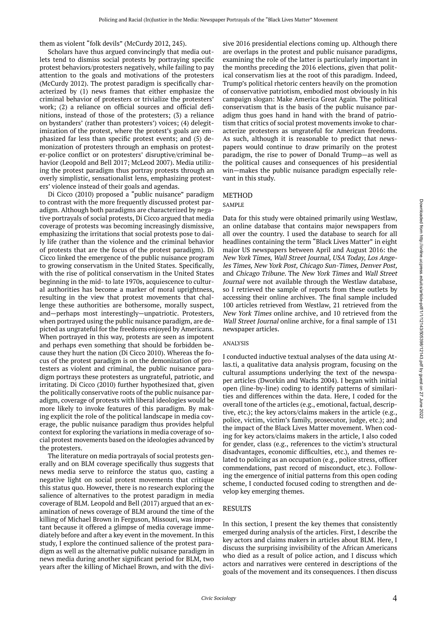them as violent "folk devils" (McCurdy 2012, 245).

Scholars have thus argued convincingly that media outlets tend to dismiss social protests by portraying specific protest behaviors/protesters negatively, while failing to pay attention to the goals and motivations of the protesters (McCurdy 2012). The protest paradigm is specifically characterized by (1) news frames that either emphasize the criminal behavior of protesters or trivialize the protesters' work; (2) a reliance on official sources and official definitions, instead of those of the protesters; (3) a reliance on bystanders' (rather than protesters') voices; (4) delegitimization of the protest, where the protest's goals are emphasized far less than specific protest events; and (5) demonization of protesters through an emphasis on protester-police conflict or on protesters' disruptive/criminal behavior (Leopold and Bell 2017; McLeod 2007). Media utilizing the protest paradigm thus portray protests through an overly simplistic, sensationalist lens, emphasizing protesters' violence instead of their goals and agendas.

Di Cicco (2010) proposed a "public nuisance" paradigm to contrast with the more frequently discussed protest paradigm. Although both paradigms are characterized by negative portrayals of social protests, Di Cicco argued that media coverage of protests was becoming increasingly dismissive, emphasizing the irritations that social protests pose to daily life (rather than the violence and the criminal behavior of protests that are the focus of the protest paradigm). Di Cicco linked the emergence of the public nuisance program to growing conservatism in the United States. Specifically, with the rise of political conservatism in the United States beginning in the mid- to late 1970s, acquiescence to cultural authorities has become a marker of moral uprightness, resulting in the view that protest movements that challenge these authorities are bothersome, morally suspect, and—perhaps most interestingly—unpatriotic. Protesters, when portrayed using the public nuisance paradigm, are depicted as ungrateful for the freedoms enjoyed by Americans. When portrayed in this way, protests are seen as impotent and perhaps even something that should be forbidden because they hurt the nation (Di Cicco 2010). Whereas the focus of the protest paradigm is on the demonization of protesters as violent and criminal, the public nuisance paradigm portrays these protesters as ungrateful, patriotic, and irritating. Di Cicco (2010) further hypothesized that, given the politically conservative roots of the public nuisance paradigm, coverage of protests with liberal ideologies would be more likely to invoke features of this paradigm. By making explicit the role of the political landscape in media coverage, the public nuisance paradigm thus provides helpful context for exploring the variations in media coverage of social protest movements based on the ideologies advanced by the protesters.

The literature on media portrayals of social protests generally and on BLM coverage specifically thus suggests that news media serve to reinforce the status quo, casting a negative light on social protest movements that critique this status quo. However, there is no research exploring the salience of alternatives to the protest paradigm in media coverage of BLM. Leopold and Bell (2017) argued that an examination of news coverage of BLM around the time of the killing of Michael Brown in Ferguson, Missouri, was important because it offered a glimpse of media coverage immediately before and after a key event in the movement. In this study, I explore the continued salience of the protest paradigm as well as the alternative public nuisance paradigm in news media during another significant period for BLM, two years after the killing of Michael Brown, and with the divisive 2016 presidential elections coming up. Although there are overlaps in the protest and public nuisance paradigms, examining the role of the latter is particularly important in the months preceding the 2016 elections, given that political conservatism lies at the root of this paradigm. Indeed, Trump's political rhetoric centers heavily on the promotion of conservative patriotism, embodied most obviously in his campaign slogan: Make America Great Again. The political conservatism that is the basis of the public nuisance paradigm thus goes hand in hand with the brand of patriotism that critics of social protest movements invoke to characterize protesters as ungrateful for American freedoms. As such, although it is reasonable to predict that newspapers would continue to draw primarily on the protest paradigm, the rise to power of Donald Trump—as well as the political causes and consequences of his presidential win—makes the public nuisance paradigm especially relevant in this study.

#### METHOD

#### SAMPLE

Data for this study were obtained primarily using Westlaw, an online database that contains major newspapers from all over the country. I used the database to search for all headlines containing the term "Black Lives Matter" in eight major US newspapers between April and August 2016: the New York Times, Wall Street Journal, USA Today, Los Angeles Times, New York Post, Chicago Sun-Times, Denver Post, and Chicago Tribune. The New York Times and Wall Street Journal were not available through the Westlaw database, so I retrieved the sample of reports from these outlets by accessing their online archives. The final sample included 100 articles retrieved from Westlaw, 21 retrieved from the New York Times online archive, and 10 retrieved from the Wall Street Journal online archive, for a final sample of 131 newspaper articles.

#### ANALYSIS

I conducted inductive textual analyses of the data using Atlas.ti, a qualitative data analysis program, focusing on the cultural assumptions underlying the text of the newspaper articles (Dworkin and Wachs 2004). I began with initial open (line-by-line) coding to identify patterns of similarities and differences within the data. Here, I coded for the overall tone of the articles (e.g., emotional, factual, descriptive, etc.); the key actors/claims makers in the article (e.g., police, victim, victim's family, prosecutor, judge, etc.); and the impact of the Black Lives Matter movement. When coding for key actors/claims makers in the article, I also coded for gender, class (e.g., references to the victim's structural disadvantages, economic difficulties, etc.), and themes related to policing as an occupation (e.g., police stress, officer commendations, past record of misconduct, etc.). Following the emergence of initial patterns from this open coding scheme, I conducted focused coding to strengthen and develop key emerging themes.

#### RESULTS

In this section, I present the key themes that consistently emerged during analysis of the articles. First, I describe the key actors and claims makers in articles about BLM. Here, I discuss the surprising invisibility of the African Americans who died as a result of police action, and I discuss which actors and narratives were centered in descriptions of the goals of the movement and its consequences. I then discuss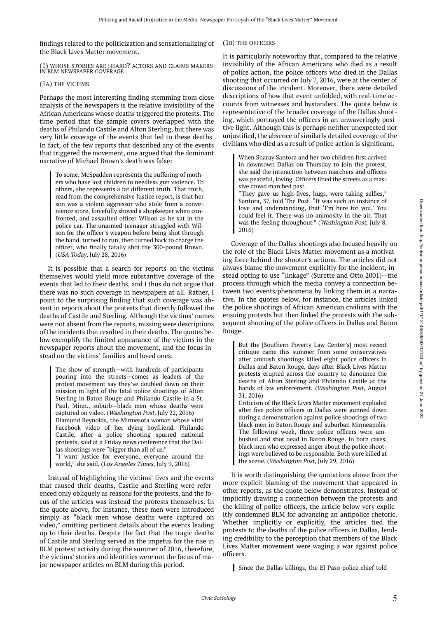findings related to the politicization and sensationalizing of the Black Lives Matter movement.

(1) WHOSE STORIES ARE HEARD? ACTORS AND CLAIMS MAKERS IN BLM NEWSPAPER COVERAGE

#### (1A) THE VICTIMS

Perhaps the most interesting finding stemming from close analysis of the newspapers is the relative invisibility of the African Americans whose deaths triggered the protests. The time period that the sample covers overlapped with the deaths of Philando Castile and Alton Sterling, but there was very little coverage of the events that led to these deaths. In fact, of the few reports that described any of the events that triggered the movement, one argued that the dominant narrative of Michael Brown's death was false:

To some, McSpadden represents the suffering of mothers who have lost children to needless gun violence. To others, she represents a far different truth. That truth, read from the comprehensive Justice report, is that her son was a violent aggressor who stole from a convenience store, forcefully shoved a shopkeeper when confronted, and assaulted officer Wilson as he sat in the police car. The unarmed teenager struggled with Wilson for the officer's weapon before being shot through the hand, turned to run, then turned back to charge the officer, who finally fatally shot the 300-pound Brown. (USA Today, July 28, 2016)

It is possible that a search for reports on the victims themselves would yield more substantive coverage of the events that led to their deaths, and I thus do not argue that there was no such coverage in newspapers at all. Rather, I point to the surprising finding that such coverage was absent in reports about the protests that directly followed the deaths of Castile and Sterling. Although the victims' names were not absent from the reports, missing were descriptions of the incidents that resulted in their deaths. The quotes below exemplify the limited appearance of the victims in the newspaper reports about the movement, and the focus instead on the victims' families and loved ones.

The show of strength—with hundreds of participants pouring into the streets—comes as leaders of the protest movement say they've doubled down on their mission in light of the fatal police shootings of Alton Sterling in Baton Rouge and Philando Castile in a St. Paul, Minn., suburb—black men whose deaths were captured on video. (Washington Post, July 22, 2016) Diamond Reynolds, the Minnesota woman whose viral Facebook video of her dying boyfriend, Philando Castile, after a police shooting spurred national protests, said at a Friday news conference that the Dallas shootings were "bigger than all of us." "I want justice for everyone, everyone around the

world," she said. (Los Angeles Times, July 9, 2016)

Instead of highlighting the victims' lives and the events that caused their deaths, Castile and Sterling were referenced only obliquely as reasons for the protests, and the focus of the articles was instead the protests themselves. In the quote above, for instance, these men were introduced simply as "black men whose deaths were captured on video," omitting pertinent details about the events leading up to their deaths. Despite the fact that the tragic deaths of Castile and Sterling served as the impetus for the rise in BLM protest activity during the summer of 2016, therefore, the victims' stories and identities were not the focus of major newspaper articles on BLM during this period.

#### (1B) THE OFFICERS

It is particularly noteworthy that, compared to the relative invisibility of the African Americans who died as a result of police action, the police officers who died in the Dallas shooting that occurred on July 7, 2016, were at the center of discussions of the incident. Moreover, there were detailed descriptions of how that event unfolded, with real-time accounts from witnesses and bystanders. The quote below is representative of the broader coverage of the Dallas shooting, which portrayed the officers in an unwaveringly positive light. Although this is perhaps neither unexpected nor unjustified, the absence of similarly detailed coverage of the civilians who died as a result of police action is significant.

When Sharay Santora and her two children first arrived in downtown Dallas on Thursday to join the protest, she said the interaction between marchers and officers was peaceful, loving. Officers lined the streets as a massive crowd marched past.

"They gave us high-fives, hugs, were taking selfies," Santora, 37, told The Post. "It was such an instance of love and understanding, that 'I'm here for you.' You could feel it. There was no animosity in the air. That was the feeling throughout." (Washington Post, July 8, 2016)

Coverage of the Dallas shootings also focused heavily on the role of the Black Lives Matter movement as a motivating force behind the shooter's actions. The articles did not always blame the movement explicitly for the incident, instead opting to use "linkage" (Surette and Otto 2001)—the process through which the media convey a connection between two events/phenomena by linking them in a narrative. In the quotes below, for instance, the articles linked the police shootings of African American civilians with the ensuing protests but then linked the protests with the subsequent shooting of the police officers in Dallas and Baton Rouge.

But the [Southern Poverty Law Center's] most recent critique came this summer from some conservatives after ambush shootings killed eight police officers in Dallas and Baton Rouge, days after Black Lives Matter protests erupted across the country to denounce the deaths of Alton Sterling and Philando Castile at the hands of law enforcement. (Washington Post, August 31, 2016)

Criticism of the Black Lives Matter movement exploded after five police officers in Dallas were gunned down during a demonstration against police shootings of two black men in Baton Rouge and suburban Minneapolis. The following week, three police officers were ambushed and shot dead in Baton Rouge. In both cases, black men who expressed anger about the police shootings were believed to be responsible. Both were killed at the scene. (Washington Post, July 29, 2016)

It is worth distinguishing the quotations above from the more explicit blaming of the movement that appeared in other reports, as the quote below demonstrates. Instead of implicitly drawing a connection between the protests and the killing of police officers, the article below very explicitly condemned BLM for advancing an antipolice rhetoric. Whether implicitly or explicitly, the articles tied the protests to the deaths of the police officers in Dallas, lending credibility to the perception that members of the Black Lives Matter movement were waging a war against police officers.

Since the Dallas killings, the El Paso police chief told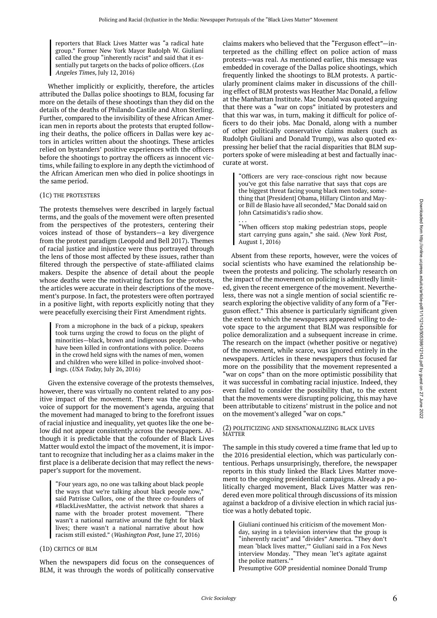reporters that Black Lives Matter was "a radical hate group." Former New York Mayor Rudolph W. Giuliani called the group "inherently racist" and said that it essentially put targets on the backs of police officers. (Los Angeles Times, July 12, 2016)

Whether implicitly or explicitly, therefore, the articles attributed the Dallas police shootings to BLM, focusing far more on the details of these shootings than they did on the details of the deaths of Philando Castile and Alton Sterling. Further, compared to the invisibility of these African American men in reports about the protests that erupted following their deaths, the police officers in Dallas were key actors in articles written about the shootings. These articles relied on bystanders' positive experiences with the officers before the shootings to portray the officers as innocent victims, while failing to explore in any depth the victimhood of the African American men who died in police shootings in the same period.

#### (1C) THE PROTESTERS

The protests themselves were described in largely factual terms, and the goals of the movement were often presented from the perspectives of the protesters, centering their voices instead of those of bystanders—a key divergence from the protest paradigm (Leopold and Bell 2017). Themes of racial justice and injustice were thus portrayed through the lens of those most affected by these issues, rather than filtered through the perspective of state-affiliated claims makers. Despite the absence of detail about the people whose deaths were the motivating factors for the protests, the articles were accurate in their descriptions of the movement's purpose. In fact, the protesters were often portrayed in a positive light, with reports explicitly noting that they were peacefully exercising their First Amendment rights.

From a microphone in the back of a pickup, speakers took turns urging the crowd to focus on the plight of minorities—black, brown and indigenous people—who have been killed in confrontations with police. Dozens in the crowd held signs with the names of men, women and children who were killed in police-involved shootings. (USA Today, July 26, 2016)

Given the extensive coverage of the protests themselves, however, there was virtually no content related to any positive impact of the movement. There was the occasional voice of support for the movement's agenda, arguing that the movement had managed to bring to the forefront issues of racial injustice and inequality, yet quotes like the one below did not appear consistently across the newspapers. Although it is predictable that the cofounder of Black Lives Matter would extol the impact of the movement, it is important to recognize that including her as a claims maker in the first place is a deliberate decision that may reflect the newspaper's support for the movement.

"Four years ago, no one was talking about black people the ways that we're talking about black people now," said Patrisse Cullors, one of the three co-founders of #BlackLivesMatter, the activist network that shares a name with the broader protest movement. "There wasn't a national narrative around the fight for black lives; there wasn't a national narrative about how racism still existed." (Washington Post, June 27, 2016)

#### (1D) CRITICS OF BLM

When the newspapers did focus on the consequences of BLM, it was through the words of politically conservative

claims makers who believed that the "Ferguson effect"—interpreted as the chilling effect on police action of mass protests—was real. As mentioned earlier, this message was embedded in coverage of the Dallas police shootings, which frequently linked the shootings to BLM protests. A particularly prominent claims maker in discussions of the chilling effect of BLM protests was Heather Mac Donald, a fellow at the Manhattan Institute. Mac Donald was quoted arguing that there was a "war on cops" initiated by protesters and that this war was, in turn, making it difficult for police officers to do their jobs. Mac Donald, along with a number of other politically conservative claims makers (such as Rudolph Giuliani and Donald Trump), was also quoted expressing her belief that the racial disparities that BLM supporters spoke of were misleading at best and factually inaccurate at worst.

"Officers are very race-conscious right now because you've got this false narrative that says that cops are the biggest threat facing young black men today, something that [President] Obama, Hillary Clinton and Mayor Bill de Blasio have all seconded," Mac Donald said on John Catsimatidis's radio show.

. . . "When officers stop making pedestrian stops, people start carrying guns again," she said. (New York Post, August 1, 2016)

Absent from these reports, however, were the voices of social scientists who have examined the relationship between the protests and policing. The scholarly research on the impact of the movement on policing is admittedly limited, given the recent emergence of the movement. Nevertheless, there was not a single mention of social scientific research exploring the objective validity of any form of a "Ferguson effect." This absence is particularly significant given the extent to which the newspapers appeared willing to devote space to the argument that BLM was responsible for police demoralization and a subsequent increase in crime. The research on the impact (whether positive or negative) of the movement, while scarce, was ignored entirely in the newspapers. Articles in these newspapers thus focused far more on the possibility that the movement represented a "war on cops" than on the more optimistic possibility that it was successful in combating racial injustice. Indeed, they even failed to consider the possibility that, to the extent that the movements were disrupting policing, this may have been attributable to citizens' mistrust in the police and not on the movement's alleged "war on cops."

#### (2) POLITICIZING AND SENSATIONALIZING BLACK LIVES MATTER

The sample in this study covered a time frame that led up to the 2016 presidential election, which was particularly contentious. Perhaps unsurprisingly, therefore, the newspaper reports in this study linked the Black Lives Matter movement to the ongoing presidential campaigns. Already a politically charged movement, Black Lives Matter was rendered even more political through discussions of its mission against a backdrop of a divisive election in which racial justice was a hotly debated topic.

Giuliani continued his criticism of the movement Monday, saying in a television interview that the group is "inherently racist" and "divides" America. "They don't mean 'black lives matter,'" Giuliani said in a Fox News interview Monday. "They mean 'let's agitate against the police matters.'"

Presumptive GOP presidential nominee Donald Trump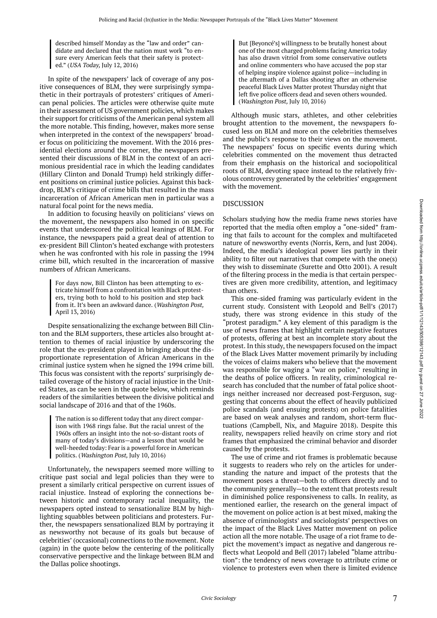described himself Monday as the "law and order" candidate and declared that the nation must work "to ensure every American feels that their safety is protected." (USA Today, July 12, 2016)

In spite of the newspapers' lack of coverage of any positive consequences of BLM, they were surprisingly sympathetic in their portrayals of protesters' critiques of American penal policies. The articles were otherwise quite mute in their assessment of US government policies, which makes their support for criticisms of the American penal system all the more notable. This finding, however, makes more sense when interpreted in the context of the newspapers' broader focus on politicizing the movement. With the 2016 presidential elections around the corner, the newspapers presented their discussions of BLM in the context of an acrimonious presidential race in which the leading candidates (Hillary Clinton and Donald Trump) held strikingly different positions on criminal justice policies. Against this backdrop, BLM's critique of crime bills that resulted in the mass incarceration of African American men in particular was a natural focal point for the news media.

In addition to focusing heavily on politicians' views on the movement, the newspapers also homed in on specific events that underscored the political leanings of BLM. For instance, the newspapers paid a great deal of attention to ex-president Bill Clinton's heated exchange with protesters when he was confronted with his role in passing the 1994 crime bill, which resulted in the incarceration of massive numbers of African Americans.

For days now, Bill Clinton has been attempting to extricate himself from a confrontation with Black protesters, trying both to hold to his position and step back from it. It's been an awkward dance. (Washington Post, April 13, 2016)

Despite sensationalizing the exchange between Bill Clinton and the BLM supporters, these articles also brought attention to themes of racial injustice by underscoring the role that the ex-president played in bringing about the disproportionate representation of African Americans in the criminal justice system when he signed the 1994 crime bill. This focus was consistent with the reports' surprisingly detailed coverage of the history of racial injustice in the United States, as can be seen in the quote below, which reminds readers of the similarities between the divisive political and social landscape of 2016 and that of the 1960s.

The nation is so different today that any direct comparison with 1968 rings false. But the racial unrest of the 1960s offers an insight into the not-so-distant roots of many of today's divisions—and a lesson that would be well-heeded today: Fear is a powerful force in American politics. (Washington Post, July 10, 2016)

Unfortunately, the newspapers seemed more willing to critique past social and legal policies than they were to present a similarly critical perspective on current issues of racial injustice. Instead of exploring the connections between historic and contemporary racial inequality, the newspapers opted instead to sensationalize BLM by highlighting squabbles between politicians and protesters. Further, the newspapers sensationalized BLM by portraying it as newsworthy not because of its goals but because of celebrities' (occasional) connections to the movement. Note (again) in the quote below the centering of the politically conservative perspective and the linkage between BLM and the Dallas police shootings.

But [Beyoncé's] willingness to be brutally honest about one of the most charged problems facing America today has also drawn vitriol from some conservative outlets and online commenters who have accused the pop star of helping inspire violence against police—including in the aftermath of a Dallas shooting after an otherwise peaceful Black Lives Matter protest Thursday night that left five police officers dead and seven others wounded. (Washington Post, July 10, 2016)

Although music stars, athletes, and other celebrities brought attention to the movement, the newspapers focused less on BLM and more on the celebrities themselves and the public's response to their views on the movement. The newspapers' focus on specific events during which celebrities commented on the movement thus detracted from their emphasis on the historical and sociopolitical roots of BLM, devoting space instead to the relatively frivolous controversy generated by the celebrities' engagement with the movement.

### DISCUSSION

Scholars studying how the media frame news stories have reported that the media often employ a "one-sided" framing that fails to account for the complex and multifaceted nature of newsworthy events (Norris, Kern, and Just 2004). Indeed, the media's ideological power lies partly in their ability to filter out narratives that compete with the one(s) they wish to disseminate (Surette and Otto 2001). A result of the filtering process in the media is that certain perspectives are given more credibility, attention, and legitimacy than others.

This one-sided framing was particularly evident in the current study. Consistent with Leopold and Bell's (2017) study, there was strong evidence in this study of the "protest paradigm." A key element of this paradigm is the use of news frames that highlight certain negative features of protests, offering at best an incomplete story about the protest. In this study, the newspapers focused on the impact of the Black Lives Matter movement primarily by including the voices of claims makers who believe that the movement was responsible for waging a "war on police," resulting in the deaths of police officers. In reality, criminological research has concluded that the number of fatal police shootings neither increased nor decreased post-Ferguson, suggesting that concerns about the effect of heavily publicized police scandals (and ensuing protests) on police fatalities are based on weak analyses and random, short-term fluctuations (Campbell, Nix, and Maguire 2018). Despite this reality, newspapers relied heavily on crime story and riot frames that emphasized the criminal behavior and disorder caused by the protests.

The use of crime and riot frames is problematic because it suggests to readers who rely on the articles for understanding the nature and impact of the protests that the movement poses a threat—both to officers directly and to the community generally—to the extent that protests result in diminished police responsiveness to calls. In reality, as mentioned earlier, the research on the general impact of the movement on police action is at best mixed, making the absence of criminologists' and sociologists' perspectives on the impact of the Black Lives Matter movement on police action all the more notable. The usage of a riot frame to depict the movement's impact as negative and dangerous reflects what Leopold and Bell (2017) labeled "blame attribution": the tendency of news coverage to attribute crime or violence to protesters even when there is limited evidence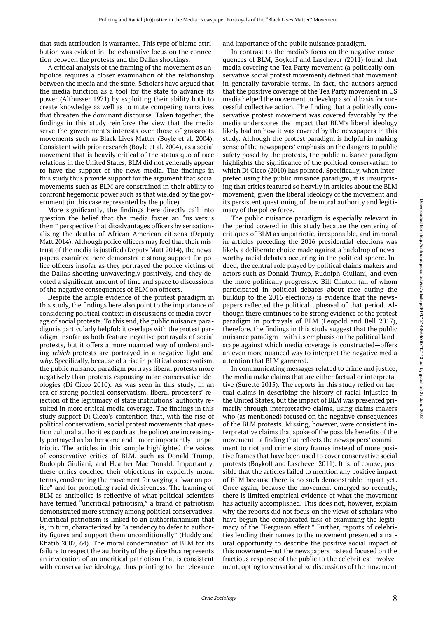that such attribution is warranted. This type of blame attribution was evident in the exhaustive focus on the connection between the protests and the Dallas shootings.

A critical analysis of the framing of the movement as antipolice requires a closer examination of the relationship between the media and the state. Scholars have argued that the media function as a tool for the state to advance its power (Althusser 1971) by exploiting their ability both to create knowledge as well as to mute competing narratives that threaten the dominant discourse. Taken together, the findings in this study reinforce the view that the media serve the government's interests over those of grassroots movements such as Black Lives Matter (Boyle et al. 2004). Consistent with prior research (Boyle et al. 2004), as a social movement that is heavily critical of the status quo of race relations in the United States, BLM did not generally appear to have the support of the news media. The findings in this study thus provide support for the argument that social movements such as BLM are constrained in their ability to confront hegemonic power such as that wielded by the government (in this case represented by the police).

More significantly, the findings here directly call into question the belief that the media foster an "us versus them" perspective that disadvantages officers by sensationalizing the deaths of African American citizens (Deputy Matt 2014). Although police officers may feel that their mistrust of the media is justified (Deputy Matt 2014), the newspapers examined here demonstrate strong support for police officers insofar as they portrayed the police victims of the Dallas shooting unwaveringly positively, and they devoted a significant amount of time and space to discussions of the negative consequences of BLM on officers.

Despite the ample evidence of the protest paradigm in this study, the findings here also point to the importance of considering political context in discussions of media coverage of social protests. To this end, the public nuisance paradigm is particularly helpful: it overlaps with the protest paradigm insofar as both feature negative portrayals of social protests, but it offers a more nuanced way of understanding which protests are portrayed in a negative light and why. Specifically, because of a rise in political conservatism, the public nuisance paradigm portrays liberal protests more negatively than protests espousing more conservative ideologies (Di Cicco 2010). As was seen in this study, in an era of strong political conservatism, liberal protesters' rejection of the legitimacy of state institutions' authority resulted in more critical media coverage. The findings in this study support Di Cicco's contention that, with the rise of political conservatism, social protest movements that question cultural authorities (such as the police) are increasingly portrayed as bothersome and—more importantly—unpatriotic. The articles in this sample highlighted the voices of conservative critics of BLM, such as Donald Trump, Rudolph Giuliani, and Heather Mac Donald. Importantly, these critics couched their objections in explicitly moral terms, condemning the movement for waging a "war on police" and for promoting racial divisiveness. The framing of BLM as antipolice is reflective of what political scientists have termed "uncritical patriotism," a brand of patriotism demonstrated more strongly among political conservatives. Uncritical patriotism is linked to an authoritarianism that is, in turn, characterized by "a tendency to defer to authority figures and support them unconditionally" (Huddy and Khatib 2007, 64). The moral condemnation of BLM for its failure to respect the authority of the police thus represents an invocation of an uncritical patriotism that is consistent with conservative ideology, thus pointing to the relevance

and importance of the public nuisance paradigm.

In contrast to the media's focus on the negative consequences of BLM, Boykoff and Laschever (2011) found that media covering the Tea Party movement (a politically conservative social protest movement) defined that movement in generally favorable terms. In fact, the authors argued that the positive coverage of the Tea Party movement in US media helped the movement to develop a solid basis for successful collective action. The finding that a politically conservative protest movement was covered favorably by the media underscores the impact that BLM's liberal ideology likely had on how it was covered by the newspapers in this study. Although the protest paradigm is helpful in making sense of the newspapers' emphasis on the dangers to public safety posed by the protests, the public nuisance paradigm highlights the significance of the political conservatism to which Di Cicco (2010) has pointed. Specifically, when interpreted using the public nuisance paradigm, it is unsurprising that critics featured so heavily in articles about the BLM movement, given the liberal ideology of the movement and its persistent questioning of the moral authority and legitimacy of the police force.

The public nuisance paradigm is especially relevant in the period covered in this study because the centering of critiques of BLM as unpatriotic, irresponsible, and immoral in articles preceding the 2016 presidential elections was likely a deliberate choice made against a backdrop of newsworthy racial debates occurring in the political sphere. Indeed, the central role played by political claims makers and actors such as Donald Trump, Rudolph Giuliani, and even the more politically progressive Bill Clinton (all of whom participated in political debates about race during the buildup to the 2016 elections) is evidence that the newspapers reflected the political upheaval of that period. Although there continues to be strong evidence of the protest paradigm in portrayals of BLM (Leopold and Bell 2017), therefore, the findings in this study suggest that the public nuisance paradigm—with its emphasis on the political landscape against which media coverage is constructed—offers an even more nuanced way to interpret the negative media attention that BLM garnered.

In communicating messages related to crime and justice, the media make claims that are either factual or interpretative (Surette 2015). The reports in this study relied on factual claims in describing the history of racial injustice in the United States, but the impact of BLM was presented primarily through interpretative claims, using claims makers who (as mentioned) focused on the negative consequences of the BLM protests. Missing, however, were consistent interpretative claims that spoke of the possible benefits of the movement—a finding that reflects the newspapers' commitment to riot and crime story frames instead of more positive frames that have been used to cover conservative social protests (Boykoff and Laschever 2011). It is, of course, possible that the articles failed to mention any positive impact of BLM because there is no such demonstrable impact yet. Once again, because the movement emerged so recently, there is limited empirical evidence of what the movement has actually accomplished. This does not, however, explain why the reports did not focus on the views of scholars who have begun the complicated task of examining the legitimacy of the "Ferguson effect." Further, reports of celebrities lending their names to the movement presented a natural opportunity to describe the positive social impact of this movement—but the newspapers instead focused on the fractious response of the public to the celebrities' involvement, opting to sensationalize discussions of the movement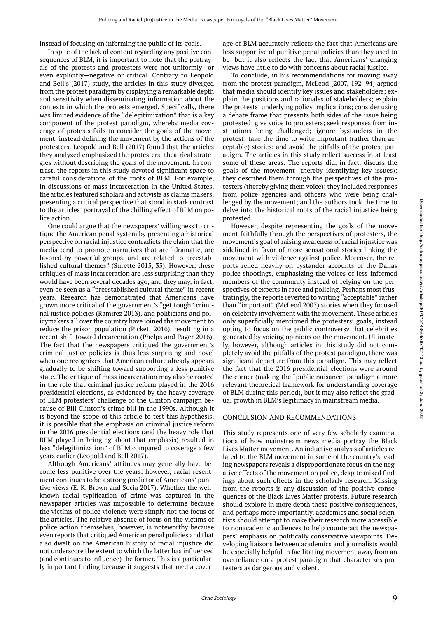instead of focusing on informing the public of its goals.

In spite of the lack of content regarding any positive consequences of BLM, it is important to note that the portrayals of the protests and protesters were not uniformly—or even explicitly—negative or critical. Contrary to Leopold and Bell's (2017) study, the articles in this study diverged from the protest paradigm by displaying a remarkable depth and sensitivity when disseminating information about the contexts in which the protests emerged. Specifically, there was limited evidence of the "delegitimization" that is a key component of the protest paradigm, whereby media coverage of protests fails to consider the goals of the movement, instead defining the movement by the actions of the protesters. Leopold and Bell (2017) found that the articles they analyzed emphasized the protesters' theatrical strategies without describing the goals of the movement. In contrast, the reports in this study devoted significant space to careful considerations of the roots of BLM. For example, in discussions of mass incarceration in the United States, the articles featured scholars and activists as claims makers, presenting a critical perspective that stood in stark contrast to the articles' portrayal of the chilling effect of BLM on police action.

One could argue that the newspapers' willingness to critique the American penal system by presenting a historical perspective on racial injustice contradicts the claim that the media tend to promote narratives that are "dramatic, are favored by powerful groups, and are related to preestablished cultural themes" (Surette 2015, 35). However, these critiques of mass incarceration are less surprising than they would have been several decades ago, and they may, in fact, even be seen as a "preestablished cultural theme" in recent years. Research has demonstrated that Americans have grown more critical of the government's "get tough" criminal justice policies (Ramirez 2013), and politicians and policymakers all over the country have joined the movement to reduce the prison population (Pickett 2016), resulting in a recent shift toward decarceration (Phelps and Pager 2016). The fact that the newspapers critiqued the government's criminal justice policies is thus less surprising and novel when one recognizes that American culture already appears gradually to be shifting toward supporting a less punitive state. The critique of mass incarceration may also be rooted in the role that criminal justice reform played in the 2016 presidential elections, as evidenced by the heavy coverage of BLM protesters' challenge of the Clinton campaign because of Bill Clinton's crime bill in the 1990s. Although it is beyond the scope of this article to test this hypothesis, it is possible that the emphasis on criminal justice reform in the 2016 presidential elections (and the heavy role that BLM played in bringing about that emphasis) resulted in less "delegitimization" of BLM compared to coverage a few years earlier (Leopold and Bell 2017).

Although Americans' attitudes may generally have become less punitive over the years, however, racial resentment continues to be a strong predictor of Americans' punitive views (E. K. Brown and Socia 2017). Whether the wellknown racial typification of crime was captured in the newspaper articles was impossible to determine because the victims of police violence were simply not the focus of the articles. The relative absence of focus on the victims of police action themselves, however, is noteworthy because even reports that critiqued American penal policies and that also dwelt on the American history of racial injustice did not underscore the extent to which the latter has influenced (and continues to influence) the former. This is a particularly important finding because it suggests that media coverage of BLM accurately reflects the fact that Americans are less supportive of punitive penal policies than they used to be; but it also reflects the fact that Americans' changing views have little to do with concerns about racial justice.

To conclude, in his recommendations for moving away from the protest paradigm, McLeod (2007, 192–94) argued that media should identify key issues and stakeholders; explain the positions and rationales of stakeholders; explain the protests' underlying policy implications; consider using a debate frame that presents both sides of the issue being protested; give voice to protesters; seek responses from institutions being challenged; ignore bystanders in the protest; take the time to write important (rather than acceptable) stories; and avoid the pitfalls of the protest paradigm. The articles in this study reflect success in at least some of these areas. The reports did, in fact, discuss the goals of the movement (thereby identifying key issues); they described them through the perspectives of the protesters (thereby giving them voice); they included responses from police agencies and officers who were being challenged by the movement; and the authors took the time to delve into the historical roots of the racial injustice being protested.

However, despite representing the goals of the movement faithfully through the perspectives of protesters, the movement's goal of raising awareness of racial injustice was sidelined in favor of more sensational stories linking the movement with violence against police. Moreover, the reports relied heavily on bystander accounts of the Dallas police shootings, emphasizing the voices of less-informed members of the community instead of relying on the perspectives of experts in race and policing. Perhaps most frustratingly, the reports reverted to writing "acceptable" rather than "important" (McLeod 2007) stories when they focused on celebrity involvement with the movement. These articles only superficially mentioned the protesters' goals, instead opting to focus on the public controversy that celebrities generated by voicing opinions on the movement. Ultimately, however, although articles in this study did not completely avoid the pitfalls of the protest paradigm, there was significant departure from this paradigm. This may reflect the fact that the 2016 presidential elections were around the corner (making the "public nuisance" paradigm a more relevant theoretical framework for understanding coverage of BLM during this period), but it may also reflect the gradual growth in BLM's legitimacy in mainstream media.

#### CONCLUSION AND RECOMMENDATIONS

This study represents one of very few scholarly examinations of how mainstream news media portray the Black Lives Matter movement. An inductive analysis of articles related to the BLM movement in some of the country's leading newspapers reveals a disproportionate focus on the negative effects of the movement on police, despite mixed findings about such effects in the scholarly research. Missing from the reports is any discussion of the positive consequences of the Black Lives Matter protests. Future research should explore in more depth these positive consequences, and perhaps more importantly, academics and social scientists should attempt to make their research more accessible to nonacademic audiences to help counteract the newspapers' emphasis on politically conservative viewpoints. Developing liaisons between academics and journalists would be especially helpful in facilitating movement away from an overreliance on a protest paradigm that characterizes protesters as dangerous and violent.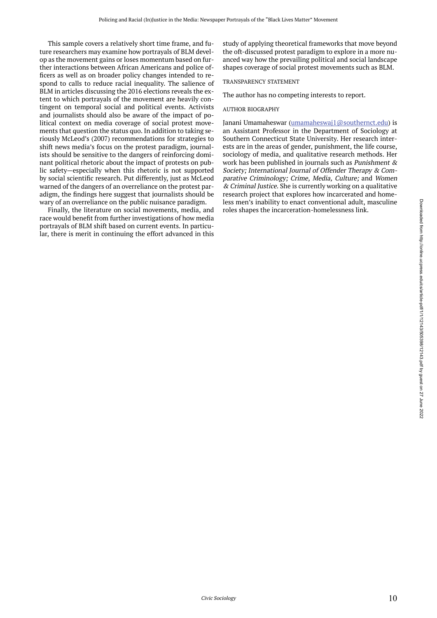This sample covers a relatively short time frame, and future researchers may examine how portrayals of BLM develop as the movement gains or loses momentum based on further interactions between African Americans and police officers as well as on broader policy changes intended to respond to calls to reduce racial inequality. The salience of BLM in articles discussing the 2016 elections reveals the extent to which portrayals of the movement are heavily contingent on temporal social and political events. Activists and journalists should also be aware of the impact of political context on media coverage of social protest movements that question the status quo. In addition to taking seriously McLeod's (2007) recommendations for strategies to shift news media's focus on the protest paradigm, journalists should be sensitive to the dangers of reinforcing dominant political rhetoric about the impact of protests on public safety—especially when this rhetoric is not supported by social scientific research. Put differently, just as McLeod warned of the dangers of an overreliance on the protest paradigm, the findings here suggest that journalists should be wary of an overreliance on the public nuisance paradigm.

Finally, the literature on social movements, media, and race would benefit from further investigations of how media portrayals of BLM shift based on current events. In particular, there is merit in continuing the effort advanced in this study of applying theoretical frameworks that move beyond the oft-discussed protest paradigm to explore in a more nuanced way how the prevailing political and social landscape shapes coverage of social protest movements such as BLM.

#### TRANSPARENCY STATEMENT

The author has no competing interests to report.

#### AUTHOR BIOGRAPHY

Janani Umamaheswar (umamaheswaj1@southernct.edu) is an Assistant Professor in the Department of Sociology at Southern Connecticut State University. Her research interests are in the areas of gender, punishment, the life course, sociology of media, and qualitative research methods. Her work has been published in journals such as Punishment & Society; International Journal of Offender Therapy & Comparative Criminology; Crime, Media, Culture; and Women & Criminal Justice. She is currently working on a qualitative research project that explores how incarcerated and homeless men's inability to enact conventional adult, masculine roles shapes the incarceration-homelessness link.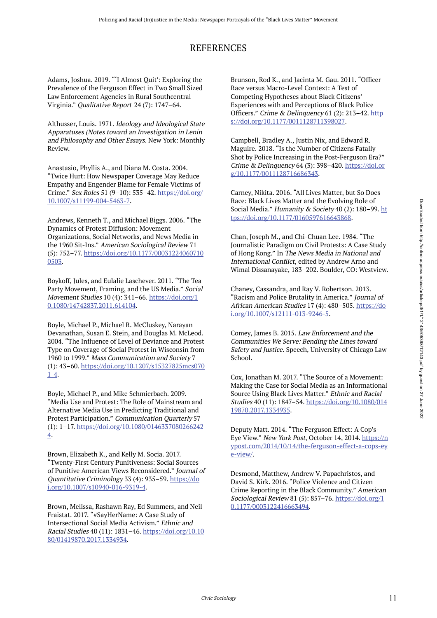## REFERENCES

Adams, Joshua. 2019. "'I Almost Quit': Exploring the Prevalence of the Ferguson Effect in Two Small Sized Law Enforcement Agencies in Rural Southcentral Virginia." Qualitative Report 24 (7): 1747–64.

Althusser, Louis. 1971. Ideology and Ideological State Apparatuses (Notes toward an Investigation in Lenin and Philosophy and Other Essays. New York: Monthly Review.

Anastasio, Phyllis A., and Diana M. Costa. 2004. "Twice Hurt: How Newspaper Coverage May Reduce Empathy and Engender Blame for Female Victims of Crime." Sex Roles 51 (9–10): 535–42. https://doi.org/ 10.1007/s11199-004-5463-7.

Andrews, Kenneth T., and Michael Biggs. 2006. "The Dynamics of Protest Diffusion: Movement Organizations, Social Networks, and News Media in the 1960 Sit-Ins." American Sociological Review 71 (5): 752–77. https://doi.org/10.1177/00031224060710 0503.

Boykoff, Jules, and Eulalie Laschever. 2011. "The Tea Party Movement, Framing, and the US Media." Social Movement Studies 10 (4): 341–66. https://doi.org/1 0.1080/14742837.2011.614104.

Boyle, Michael P., Michael R. McCluskey, Narayan Devanathan, Susan E. Stein, and Douglas M. McLeod. 2004. "The Influence of Level of Deviance and Protest Type on Coverage of Social Protest in Wisconsin from 1960 to 1999." Mass Communication and Society 7 (1): 43–60. https://doi.org/10.1207/s15327825mcs070 1\_4.

Boyle, Michael P., and Mike Schmierbach. 2009. "Media Use and Protest: The Role of Mainstream and Alternative Media Use in Predicting Traditional and Protest Participation." Communication Quarterly 57 (1): 1–17. https://doi.org/10.1080/0146337080266242 4.

Brown, Elizabeth K., and Kelly M. Socia. 2017. "Twenty-First Century Punitiveness: Social Sources of Punitive American Views Reconsidered." Journal of Quantitative Criminology 33 (4): 935–59. https://do i.org/10.1007/s10940-016-9319-4.

Brown, Melissa, Rashawn Ray, Ed Summers, and Neil Fraistat. 2017. "#SayHerName: A Case Study of Intersectional Social Media Activism." Ethnic and Racial Studies 40 (11): 1831–46. https://doi.org/10.10 80/01419870.2017.1334934.

Brunson, Rod K., and Jacinta M. Gau. 2011. "Officer Race versus Macro-Level Context: A Test of Competing Hypotheses about Black Citizens' Experiences with and Perceptions of Black Police Officers." Crime & Delinquency 61 (2): 213–42. http s://doi.org/10.1177/0011128711398027.

Campbell, Bradley A., Justin Nix, and Edward R. Maguire. 2018. "Is the Number of Citizens Fatally Shot by Police Increasing in the Post-Ferguson Era?" Crime & Delinquency 64 (3): 398–420. https://doi.or g/10.1177/0011128716686343.

Carney, Nikita. 2016. "All Lives Matter, but So Does Race: Black Lives Matter and the Evolving Role of Social Media." Humanity & Society 40 (2): 180-99. ht tps://doi.org/10.1177/0160597616643868.

Chan, Joseph M., and Chi-Chuan Lee. 1984. "The Journalistic Paradigm on Civil Protests: A Case Study of Hong Kong." In The News Media in National and International Conflict, edited by Andrew Arno and Wimal Dissanayake, 183–202. Boulder, CO: Westview.

Chaney, Cassandra, and Ray V. Robertson. 2013. "Racism and Police Brutality in America." Journal of African American Studies 17 (4): 480-505. https://do i.org/10.1007/s12111-013-9246-5.

Comey, James B. 2015. Law Enforcement and the Communities We Serve: Bending the Lines toward Safety and Justice. Speech, University of Chicago Law School.

Cox, Jonathan M. 2017. "The Source of a Movement: Making the Case for Social Media as an Informational Source Using Black Lives Matter." Ethnic and Racial Studies 40 (11): 1847–54. https://doi.org/10.1080/014 19870.2017.1334935.

Deputy Matt. 2014. "The Ferguson Effect: A Cop's-Eye View." New York Post, October 14, 2014. https://n ypost.com/2014/10/14/the-ferguson-effect-a-cops-ey e-view/.

Desmond, Matthew, Andrew V. Papachristos, and David S. Kirk. 2016. "Police Violence and Citizen Crime Reporting in the Black Community." American Sociological Review 81 (5): 857–76. https://doi.org/1 0.1177/0003122416663494.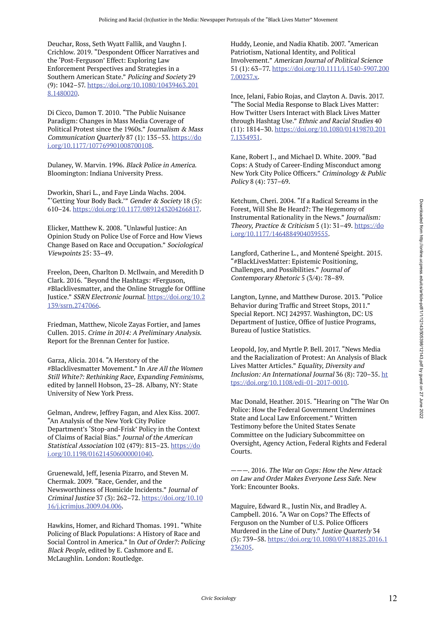Deuchar, Ross, Seth Wyatt Fallik, and Vaughn J. Crichlow. 2019. "Despondent Officer Narratives and the 'Post-Ferguson' Effect: Exploring Law Enforcement Perspectives and Strategies in a Southern American State." Policing and Society 29 (9): 1042–57. https://doi.org/10.1080/10439463.201 8.1480020.

Di Cicco, Damon T. 2010. "The Public Nuisance Paradigm: Changes in Mass Media Coverage of Political Protest since the 1960s." Journalism & Mass Communication Quarterly 87 (1): 135–53. https://do i.org/10.1177/107769901008700108.

Dulaney, W. Marvin. 1996. Black Police in America. Bloomington: Indiana University Press.

Dworkin, Shari L., and Faye Linda Wachs. 2004. "'Getting Your Body Back.'" Gender & Society 18 (5): 610–24. https://doi.org/10.1177/0891243204266817.

Elicker, Matthew K. 2008. "Unlawful Justice: An Opinion Study on Police Use of Force and How Views Change Based on Race and Occupation." Sociological Viewpoints 25: 33–49.

Freelon, Deen, Charlton D. McIlwain, and Meredith D Clark. 2016. "Beyond the Hashtags: #Ferguson, #Blacklivesmatter, and the Online Struggle for Offline Justice." SSRN Electronic Journal. https://doi.org/10.2 139/ssrn.2747066.

Friedman, Matthew, Nicole Zayas Fortier, and James Cullen. 2015. Crime in 2014: A Preliminary Analysis. Report for the Brennan Center for Justice.

Garza, Alicia. 2014. "A Herstory of the #Blacklivesmatter Movement." In Are All the Women Still White?: Rethinking Race, Expanding Feminisms, edited by Jannell Hobson, 23–28. Albany, NY: State University of New York Press.

Gelman, Andrew, Jeffrey Fagan, and Alex Kiss. 2007. "An Analysis of the New York City Police Department's 'Stop-and-Frisk' Policy in the Context of Claims of Racial Bias." Journal of the American Statistical Association 102 (479): 813–23. https://do i.org/10.1198/016214506000001040.

Gruenewald, Jeff, Jesenia Pizarro, and Steven M. Chermak. 2009. "Race, Gender, and the Newsworthiness of Homicide Incidents." Journal of Criminal Justice 37 (3): 262–72. https://doi.org/10.10 16/j.jcrimjus.2009.04.006.

Hawkins, Homer, and Richard Thomas. 1991. "White Policing of Black Populations: A History of Race and Social Control in America." In Out of Order?: Policing Black People, edited by E. Cashmore and E. McLaughlin. London: Routledge.

Huddy, Leonie, and Nadia Khatib. 2007. "American Patriotism, National Identity, and Political Involvement." American Journal of Political Science 51 (1): 63–77. https://doi.org/10.1111/j.1540-5907.200 7.00237.x.

Ince, Jelani, Fabio Rojas, and Clayton A. Davis. 2017. "The Social Media Response to Black Lives Matter: How Twitter Users Interact with Black Lives Matter through Hashtag Use." Ethnic and Racial Studies 40 (11): 1814–30. https://doi.org/10.1080/01419870.201 7.1334931.

Kane, Robert J., and Michael D. White. 2009. "Bad Cops: A Study of Career-Ending Misconduct among New York City Police Officers." Criminology & Public Policy 8 (4): 737–69.

Ketchum, Cheri. 2004. "If a Radical Screams in the Forest, Will She Be Heard?: The Hegemony of Instrumental Rationality in the News." Journalism: Theory, Practice & Criticism 5 (1): 31–49. https://do i.org/10.1177/1464884904039555.

Langford, Catherine L., and Montené Speight. 2015. "#BlackLivesMatter: Epistemic Positioning, Challenges, and Possibilities." Journal of Contemporary Rhetoric 5 (3/4): 78–89.

Langton, Lynne, and Matthew Durose. 2013. "Police Behavior during Traffic and Street Stops, 2011." Special Report. NCJ 242937. Washington, DC: US Department of Justice, Office of Justice Programs, Bureau of Justice Statistics.

Leopold, Joy, and Myrtle P. Bell. 2017. "News Media and the Racialization of Protest: An Analysis of Black Lives Matter Articles." Equality, Diversity and Inclusion: An International Journal 36 (8): 720–35. ht tps://doi.org/10.1108/edi-01-2017-0010.

Mac Donald, Heather. 2015. "Hearing on "The War On Police: How the Federal Government Undermines State and Local Law Enforcement." Written Testimony before the United States Senate Committee on the Judiciary Subcommittee on Oversight, Agency Action, Federal Rights and Federal Courts.

———. 2016. The War on Cops: How the New Attack on Law and Order Makes Everyone Less Safe. New York: Encounter Books.

Maguire, Edward R., Justin Nix, and Bradley A. Campbell. 2016. "A War on Cops? The Effects of Ferguson on the Number of U.S. Police Officers Murdered in the Line of Duty." Justice Quarterly 34 (5): 739–58. https://doi.org/10.1080/07418825.2016.1 236205.